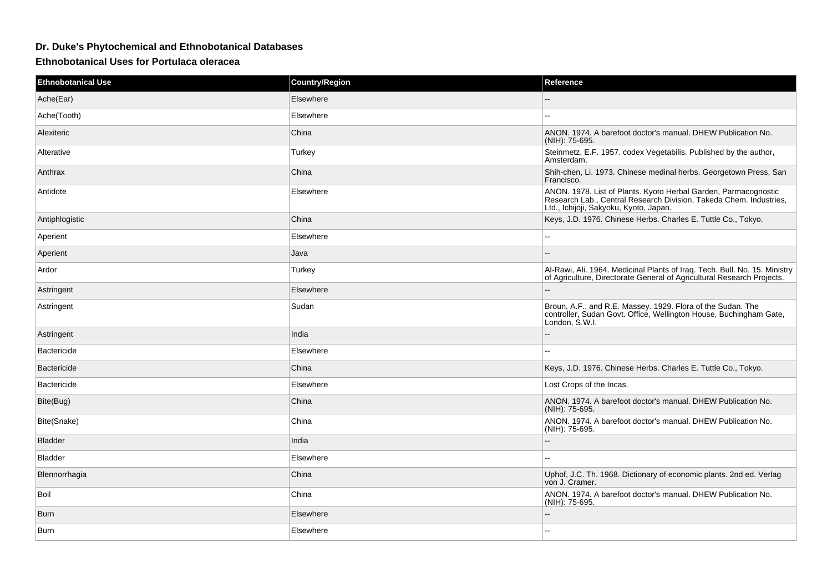## **Dr. Duke's Phytochemical and Ethnobotanical Databases**

## **Ethnobotanical Uses for Portulaca oleracea**

| <b>Ethnobotanical Use</b> | <b>Country/Region</b> | Reference                                                                                                                                                                       |
|---------------------------|-----------------------|---------------------------------------------------------------------------------------------------------------------------------------------------------------------------------|
| Ache(Ear)                 | Elsewhere             |                                                                                                                                                                                 |
| Ache(Tooth)               | Elsewhere             |                                                                                                                                                                                 |
| Alexiteric                | China                 | ANON. 1974. A barefoot doctor's manual. DHEW Publication No.<br>(NIH): 75-695.                                                                                                  |
| Alterative                | Turkey                | Steinmetz, E.F. 1957. codex Vegetabilis. Published by the author,<br>Amsterdam.                                                                                                 |
| Anthrax                   | China                 | Shih-chen, Li. 1973. Chinese medinal herbs. Georgetown Press, San<br>Francisco.                                                                                                 |
| Antidote                  | Elsewhere             | ANON. 1978. List of Plants. Kyoto Herbal Garden, Parmacognostic<br>Research Lab., Central Research Division, Takeda Chem. Industries,<br>Ltd., Ichijoji, Sakyoku, Kyoto, Japan. |
| Antiphlogistic            | China                 | Keys, J.D. 1976. Chinese Herbs. Charles E. Tuttle Co., Tokyo.                                                                                                                   |
| Aperient                  | Elsewhere             | $\sim$ $\sim$                                                                                                                                                                   |
| Aperient                  | Java                  |                                                                                                                                                                                 |
| Ardor                     | Turkey                | Al-Rawi, Ali. 1964. Medicinal Plants of Iraq. Tech. Bull. No. 15. Ministry<br>of Agriculture, Directorate General of Agricultural Research Projects.                            |
| Astringent                | Elsewhere             |                                                                                                                                                                                 |
| Astringent                | Sudan                 | Broun, A.F., and R.E. Massey. 1929. Flora of the Sudan. The<br>controller, Sudan Govt. Office, Wellington House, Buchingham Gate,<br>London, S.W.I.                             |
| Astringent                | India                 |                                                                                                                                                                                 |
| <b>Bactericide</b>        | Elsewhere             |                                                                                                                                                                                 |
| <b>Bactericide</b>        | China                 | Keys, J.D. 1976. Chinese Herbs. Charles E. Tuttle Co., Tokyo.                                                                                                                   |
| Bactericide               | Elsewhere             | Lost Crops of the Incas.                                                                                                                                                        |
| Bite(Bug)                 | China                 | ANON. 1974. A barefoot doctor's manual. DHEW Publication No.<br>(NIH): 75-695.                                                                                                  |
| Bite(Snake)               | China                 | ANON. 1974. A barefoot doctor's manual. DHEW Publication No.<br>(NIH): 75-695.                                                                                                  |
| <b>Bladder</b>            | India                 |                                                                                                                                                                                 |
| <b>Bladder</b>            | Elsewhere             |                                                                                                                                                                                 |
| Blennorrhagia             | China                 | Uphof, J.C. Th. 1968. Dictionary of economic plants. 2nd ed. Verlag<br>von J. Cramer.                                                                                           |
| Boil                      | China                 | ANON. 1974. A barefoot doctor's manual. DHEW Publication No.<br>(NIH): 75-695.                                                                                                  |
| Burn                      | Elsewhere             |                                                                                                                                                                                 |
| Burn                      | Elsewhere             |                                                                                                                                                                                 |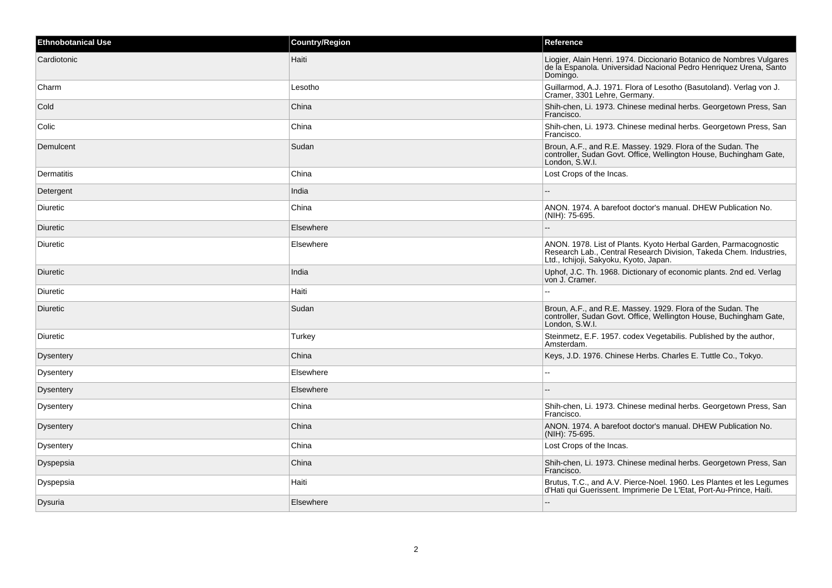| <b>Ethnobotanical Use</b> | <b>Country/Region</b> | Reference                                                                                                                                                                       |
|---------------------------|-----------------------|---------------------------------------------------------------------------------------------------------------------------------------------------------------------------------|
| Cardiotonic               | Haiti                 | Liogier, Alain Henri. 1974. Diccionario Botanico de Nombres Vulgares<br>de la Espanola. Universidad Nacional Pedro Henriquez Urena, Santo<br>Domingo.                           |
| Charm                     | Lesotho               | Guillarmod, A.J. 1971. Flora of Lesotho (Basutoland). Verlag von J.<br>Cramer, 3301 Lehre, Germany.                                                                             |
| Cold                      | China                 | Shih-chen, Li. 1973. Chinese medinal herbs. Georgetown Press, San<br>Francisco.                                                                                                 |
| Colic                     | China                 | Shih-chen, Li. 1973. Chinese medinal herbs. Georgetown Press, San<br>Francisco.                                                                                                 |
| Demulcent                 | Sudan                 | Broun, A.F., and R.E. Massey. 1929. Flora of the Sudan. The<br>controller, Sudan Govt. Office, Wellington House, Buchingham Gate,<br>London, S.W.I.                             |
| Dermatitis                | China                 | Lost Crops of the Incas.                                                                                                                                                        |
| Detergent                 | India                 |                                                                                                                                                                                 |
| Diuretic                  | China                 | ANON. 1974. A barefoot doctor's manual. DHEW Publication No.<br>(NIH): 75-695.                                                                                                  |
| Diuretic                  | Elsewhere             | --                                                                                                                                                                              |
| Diuretic                  | Elsewhere             | ANON. 1978. List of Plants. Kyoto Herbal Garden, Parmacognostic<br>Research Lab., Central Research Division, Takeda Chem. Industries,<br>Ltd., Ichijoji, Sakyoku, Kyoto, Japan. |
| Diuretic                  | India                 | Uphof, J.C. Th. 1968. Dictionary of economic plants. 2nd ed. Verlag<br>von J. Cramer.                                                                                           |
| Diuretic                  | Haiti                 | ٠.                                                                                                                                                                              |
| Diuretic                  | Sudan                 | Broun, A.F., and R.E. Massey. 1929. Flora of the Sudan. The<br>controller, Sudan Govt. Office, Wellington House, Buchingham Gate,<br>London, S.W.I.                             |
| <b>Diuretic</b>           | Turkey                | Steinmetz, E.F. 1957. codex Vegetabilis. Published by the author,<br>Amsterdam.                                                                                                 |
| Dysentery                 | China                 | Keys, J.D. 1976. Chinese Herbs. Charles E. Tuttle Co., Tokyo.                                                                                                                   |
| Dysentery                 | Elsewhere             |                                                                                                                                                                                 |
| Dysentery                 | Elsewhere             |                                                                                                                                                                                 |
| Dysentery                 | China                 | Shih-chen, Li. 1973. Chinese medinal herbs. Georgetown Press, San<br>Francisco.                                                                                                 |
| <b>Dysentery</b>          | China                 | ANON. 1974. A barefoot doctor's manual. DHEW Publication No.<br>(NIH): 75-695.                                                                                                  |
| Dysentery                 | China                 | Lost Crops of the Incas.                                                                                                                                                        |
| Dyspepsia                 | China                 | Shih-chen, Li. 1973. Chinese medinal herbs. Georgetown Press, San<br>Francisco.                                                                                                 |
| Dyspepsia                 | Haiti                 | Brutus, T.C., and A.V. Pierce-Noel. 1960. Les Plantes et les Legumes<br>d'Hati qui Guerissent. Imprimerie De L'Etat, Port-Au-Prince, Haiti.                                     |
| Dysuria                   | Elsewhere             | $-$                                                                                                                                                                             |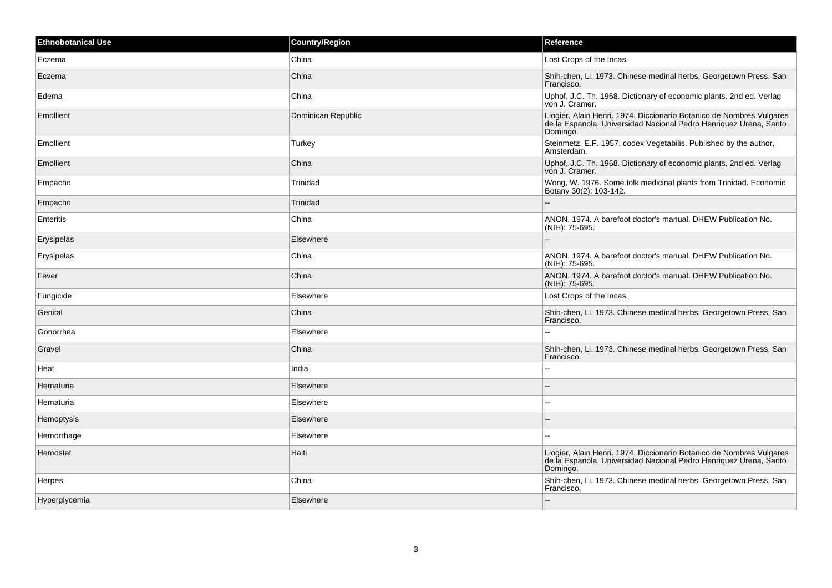| <b>Ethnobotanical Use</b> | <b>Country/Region</b> | Reference                                                                                                                                             |
|---------------------------|-----------------------|-------------------------------------------------------------------------------------------------------------------------------------------------------|
| Eczema                    | China                 | Lost Crops of the Incas.                                                                                                                              |
| Eczema                    | China                 | Shih-chen, Li. 1973. Chinese medinal herbs. Georgetown Press, San<br>Francisco.                                                                       |
| Edema                     | China                 | Uphof, J.C. Th. 1968. Dictionary of economic plants. 2nd ed. Verlag<br>von J. Cramer.                                                                 |
| Emollient                 | Dominican Republic    | Liogier, Alain Henri. 1974. Diccionario Botanico de Nombres Vulgares<br>de la Espanola. Universidad Nacional Pedro Henriquez Urena, Santo<br>Domingo. |
| Emollient                 | Turkey                | Steinmetz, E.F. 1957. codex Vegetabilis. Published by the author,<br>Amsterdam.                                                                       |
| Emollient                 | China                 | Uphof, J.C. Th. 1968. Dictionary of economic plants. 2nd ed. Verlag<br>von J. Cramer.                                                                 |
| Empacho                   | Trinidad              | Wong, W. 1976. Some folk medicinal plants from Trinidad. Economic<br>Botany 30(2): 103-142.                                                           |
| Empacho                   | Trinidad              |                                                                                                                                                       |
| Enteritis                 | China                 | ANON. 1974. A barefoot doctor's manual. DHEW Publication No.<br>(NIH): 75-695.                                                                        |
| Erysipelas                | Elsewhere             | --                                                                                                                                                    |
| Erysipelas                | China                 | ANON. 1974. A barefoot doctor's manual. DHEW Publication No.<br>(NIH): 75-695.                                                                        |
| Fever                     | China                 | ANON, 1974. A barefoot doctor's manual. DHEW Publication No.<br>(NIH): 75-695.                                                                        |
| Fungicide                 | Elsewhere             | Lost Crops of the Incas.                                                                                                                              |
| Genital                   | China                 | Shih-chen, Li. 1973. Chinese medinal herbs. Georgetown Press, San<br>Francisco.                                                                       |
| Gonorrhea                 | Elsewhere             |                                                                                                                                                       |
| Gravel                    | China                 | Shih-chen, Li. 1973. Chinese medinal herbs. Georgetown Press, San<br>Francisco.                                                                       |
| Heat                      | India                 | $=$                                                                                                                                                   |
| Hematuria                 | Elsewhere             |                                                                                                                                                       |
| Hematuria                 | Elsewhere             | ۵.                                                                                                                                                    |
| Hemoptysis                | Elsewhere             |                                                                                                                                                       |
| Hemorrhage                | Elsewhere             |                                                                                                                                                       |
| Hemostat                  | Haiti                 | Liogier, Alain Henri. 1974. Diccionario Botanico de Nombres Vulgares<br>de la Espanola. Universidad Nacional Pedro Henriquez Urena, Santo<br>Domingo. |
| <b>Herpes</b>             | China                 | Shih-chen, Li. 1973. Chinese medinal herbs. Georgetown Press, San<br>Francisco.                                                                       |
| Hyperglycemia             | Elsewhere             | $\overline{a}$                                                                                                                                        |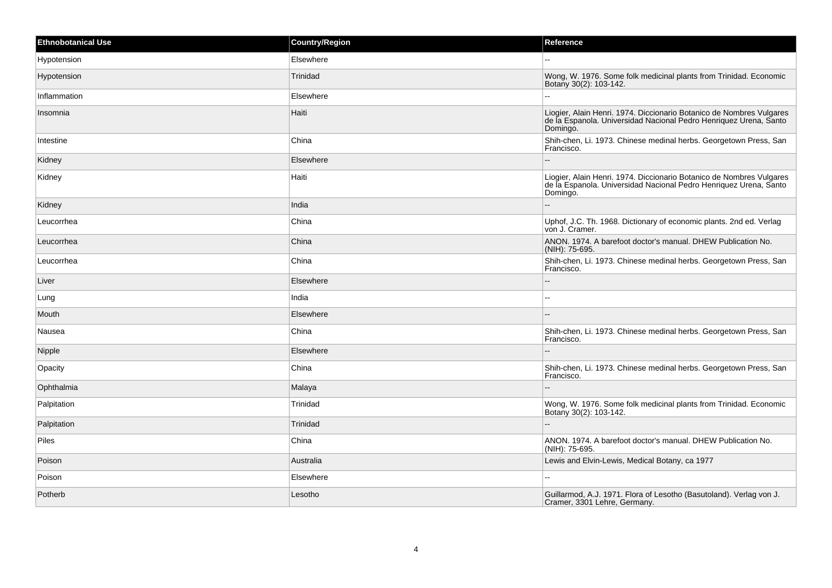| <b>Ethnobotanical Use</b> | <b>Country/Region</b> | Reference                                                                                                                                             |
|---------------------------|-----------------------|-------------------------------------------------------------------------------------------------------------------------------------------------------|
| Hypotension               | Elsewhere             |                                                                                                                                                       |
| Hypotension               | Trinidad              | Wong, W. 1976. Some folk medicinal plants from Trinidad. Economic<br>Botany 30(2): 103-142.                                                           |
| Inflammation              | Elsewhere             |                                                                                                                                                       |
| Insomnia                  | Haiti                 | Liogier, Alain Henri. 1974. Diccionario Botanico de Nombres Vulgares<br>de la Espanola. Universidad Nacional Pedro Henriquez Urena, Santo<br>Domingo. |
| Intestine                 | China                 | Shih-chen, Li. 1973. Chinese medinal herbs. Georgetown Press, San<br>Francisco.                                                                       |
| Kidney                    | Elsewhere             |                                                                                                                                                       |
| Kidney                    | Haiti                 | Liogier, Alain Henri. 1974. Diccionario Botanico de Nombres Vulgares<br>de la Espanola. Universidad Nacional Pedro Henriquez Urena, Santo<br>Domingo. |
| Kidney                    | India                 |                                                                                                                                                       |
| Leucorrhea                | China                 | Uphof, J.C. Th. 1968. Dictionary of economic plants. 2nd ed. Verlag<br>von J. Cramer.                                                                 |
| Leucorrhea                | China                 | ANON. 1974. A barefoot doctor's manual. DHEW Publication No.<br>(NIH): 75-695.                                                                        |
| Leucorrhea                | China                 | Shih-chen, Li. 1973. Chinese medinal herbs. Georgetown Press, San<br>Francisco.                                                                       |
| Liver                     | Elsewhere             |                                                                                                                                                       |
| Lung                      | India                 | $\overline{a}$                                                                                                                                        |
| Mouth                     | Elsewhere             |                                                                                                                                                       |
| Nausea                    | China                 | Shih-chen, Li. 1973. Chinese medinal herbs. Georgetown Press, San<br>Francisco.                                                                       |
| Nipple                    | Elsewhere             |                                                                                                                                                       |
| Opacity                   | China                 | Shih-chen, Li. 1973. Chinese medinal herbs. Georgetown Press, San<br>Francisco.                                                                       |
| Ophthalmia                | Malaya                |                                                                                                                                                       |
| Palpitation               | Trinidad              | Wong, W. 1976. Some folk medicinal plants from Trinidad. Economic<br>Botany 30(2): 103-142.                                                           |
| Palpitation               | Trinidad              |                                                                                                                                                       |
| Piles                     | China                 | ANON. 1974. A barefoot doctor's manual. DHEW Publication No.<br>(NIH): 75-695.                                                                        |
| Poison                    | Australia             | Lewis and Elvin-Lewis, Medical Botany, ca 1977                                                                                                        |
| Poison                    | Elsewhere             | $-$                                                                                                                                                   |
| Potherb                   | Lesotho               | Guillarmod, A.J. 1971. Flora of Lesotho (Basutoland). Verlag von J.<br>Cramer, 3301 Lehre, Germany.                                                   |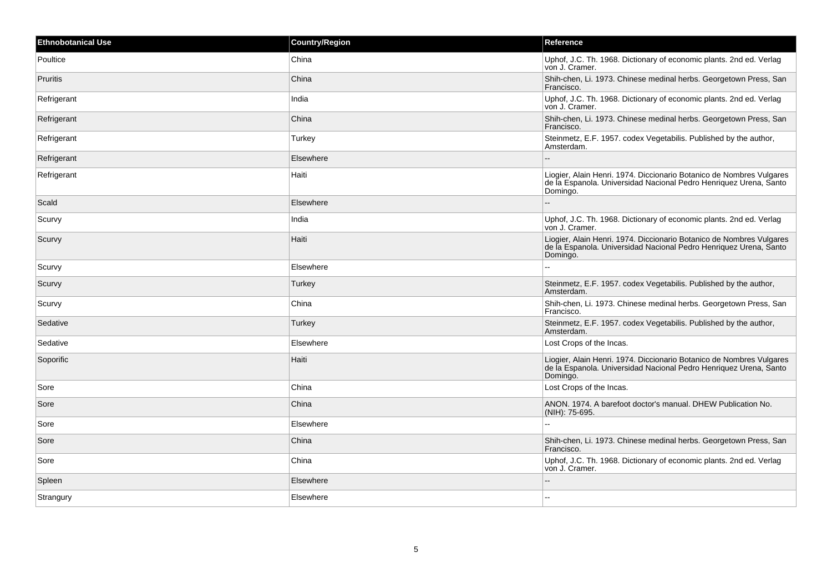| Ethnobotanical Use | <b>Country/Region</b> | Reference                                                                                                                                             |
|--------------------|-----------------------|-------------------------------------------------------------------------------------------------------------------------------------------------------|
| Poultice           | China                 | Uphof, J.C. Th. 1968. Dictionary of economic plants. 2nd ed. Verlag<br>von J. Cramer.                                                                 |
| <b>Pruritis</b>    | China                 | Shih-chen, Li. 1973. Chinese medinal herbs. Georgetown Press, San<br>Francisco.                                                                       |
| Refrigerant        | India                 | Uphof, J.C. Th. 1968. Dictionary of economic plants. 2nd ed. Verlag<br>von J. Cramer.                                                                 |
| Refrigerant        | China                 | Shih-chen, Li. 1973. Chinese medinal herbs. Georgetown Press, San<br>Francisco.                                                                       |
| Refrigerant        | Turkey                | Steinmetz, E.F. 1957. codex Vegetabilis. Published by the author,<br>Amsterdam.                                                                       |
| Refrigerant        | Elsewhere             |                                                                                                                                                       |
| Refrigerant        | Haiti                 | Liogier, Alain Henri. 1974. Diccionario Botanico de Nombres Vulgares<br>de la Espanola. Universidad Nacional Pedro Henriquez Urena, Santo<br>Domingo. |
| Scald              | Elsewhere             |                                                                                                                                                       |
| Scurvy             | India                 | Uphof, J.C. Th. 1968. Dictionary of economic plants. 2nd ed. Verlag<br>von J. Cramer.                                                                 |
| Scurvy             | Haiti                 | Liogier, Alain Henri. 1974. Diccionario Botanico de Nombres Vulgares<br>de la Espanola. Universidad Nacional Pedro Henriquez Urena, Santo<br>Domingo. |
| Scurvy             | Elsewhere             |                                                                                                                                                       |
| Scurvy             | Turkey                | Steinmetz, E.F. 1957. codex Vegetabilis. Published by the author,<br>Amsterdam.                                                                       |
| Scurvy             | China                 | Shih-chen, Li. 1973. Chinese medinal herbs. Georgetown Press, San<br>Francisco.                                                                       |
| Sedative           | Turkey                | Steinmetz, E.F. 1957. codex Vegetabilis. Published by the author,<br>Amsterdam.                                                                       |
| Sedative           | Elsewhere             | Lost Crops of the Incas.                                                                                                                              |
| Soporific          | Haiti                 | Liogier, Alain Henri. 1974. Diccionario Botanico de Nombres Vulgares<br>de la Espanola. Universidad Nacional Pedro Henriquez Urena, Santo<br>Domingo. |
| Sore               | China                 | Lost Crops of the Incas.                                                                                                                              |
| Sore               | China                 | ANON. 1974. A barefoot doctor's manual. DHEW Publication No.<br>(NIH): 75-695.                                                                        |
| Sore               | Elsewhere             |                                                                                                                                                       |
| Sore               | China                 | Shih-chen, Li. 1973. Chinese medinal herbs. Georgetown Press, San<br>Francisco.                                                                       |
| Sore               | China                 | Uphof, J.C. Th. 1968. Dictionary of economic plants. 2nd ed. Verlag<br>von J. Cramer.                                                                 |
| Spleen             | Elsewhere             |                                                                                                                                                       |
| Strangury          | Elsewhere             |                                                                                                                                                       |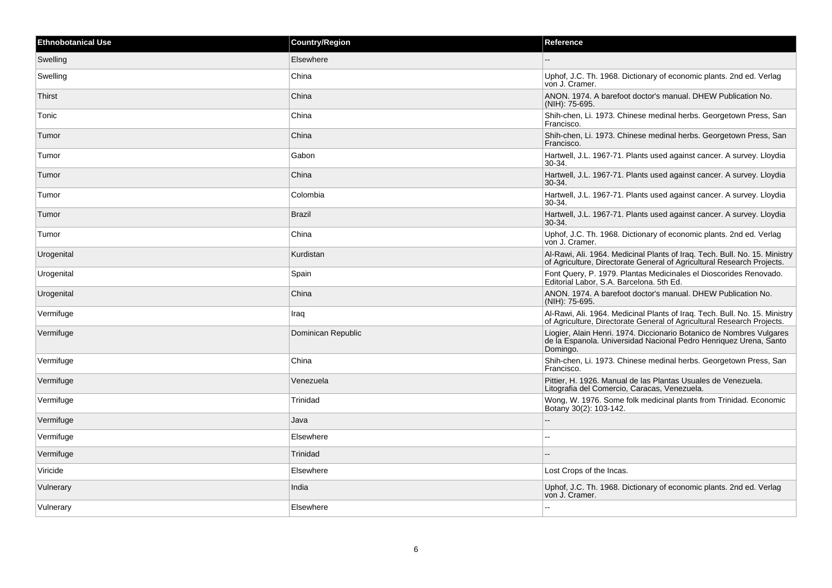| <b>Ethnobotanical Use</b> | <b>Country/Region</b> | Reference                                                                                                                                             |
|---------------------------|-----------------------|-------------------------------------------------------------------------------------------------------------------------------------------------------|
| Swelling                  | Elsewhere             |                                                                                                                                                       |
| Swelling                  | China                 | Uphof, J.C. Th. 1968. Dictionary of economic plants. 2nd ed. Verlag<br>von J. Cramer.                                                                 |
| Thirst                    | China                 | ANON. 1974. A barefoot doctor's manual. DHEW Publication No.<br>(NIH): 75-695.                                                                        |
| Tonic                     | China                 | Shih-chen, Li. 1973. Chinese medinal herbs. Georgetown Press, San<br>Francisco.                                                                       |
| Tumor                     | China                 | Shih-chen, Li. 1973. Chinese medinal herbs. Georgetown Press, San<br>Francisco.                                                                       |
| Tumor                     | Gabon                 | Hartwell, J.L. 1967-71. Plants used against cancer. A survey. Lloydia<br>30-34.                                                                       |
| Tumor                     | China                 | Hartwell, J.L. 1967-71. Plants used against cancer. A survey. Lloydia<br>$30-34.$                                                                     |
| Tumor                     | Colombia              | Hartwell, J.L. 1967-71. Plants used against cancer. A survey. Lloydia<br>30-34.                                                                       |
| Tumor                     | <b>Brazil</b>         | Hartwell, J.L. 1967-71. Plants used against cancer. A survey. Lloydia<br>$30-34.$                                                                     |
| Tumor                     | China                 | Uphof, J.C. Th. 1968. Dictionary of economic plants. 2nd ed. Verlag<br>von J. Cramer.                                                                 |
| Urogenital                | Kurdistan             | Al-Rawi, Ali. 1964. Medicinal Plants of Iraq. Tech. Bull. No. 15. Ministry<br>of Agriculture, Directorate General of Agricultural Research Projects.  |
| Urogenital                | Spain                 | Font Query, P. 1979. Plantas Medicinales el Dioscorides Renovado.<br>Editorial Labor, S.A. Barcelona. 5th Ed.                                         |
| Urogenital                | China                 | ANON, 1974. A barefoot doctor's manual. DHEW Publication No.<br>(NIH): 75-695.                                                                        |
| Vermifuge                 | Iraq                  | Al-Rawi, Ali. 1964. Medicinal Plants of Iraq. Tech. Bull. No. 15. Ministry<br>of Agriculture, Directorate General of Agricultural Research Projects.  |
| Vermifuge                 | Dominican Republic    | Liogier, Alain Henri. 1974. Diccionario Botanico de Nombres Vulgares<br>de la Espanola. Universidad Nacional Pedro Henriquez Urena, Santo<br>Domingo. |
| Vermifuge                 | China                 | Shih-chen, Li. 1973. Chinese medinal herbs. Georgetown Press, San<br>Francisco.                                                                       |
| Vermifuge                 | Venezuela             | Pittier, H. 1926. Manual de las Plantas Usuales de Venezuela.<br>Litografia del Comercio, Caracas, Venezuela.                                         |
| Vermifuge                 | Trinidad              | Wong, W. 1976. Some folk medicinal plants from Trinidad. Economic<br>Botany 30(2): 103-142.                                                           |
| Vermifuge                 | Java                  | --                                                                                                                                                    |
| Vermifuge                 | Elsewhere             |                                                                                                                                                       |
| Vermifuge                 | Trinidad              |                                                                                                                                                       |
| Viricide                  | Elsewhere             | Lost Crops of the Incas.                                                                                                                              |
| Vulnerary                 | India                 | Uphof, J.C. Th. 1968. Dictionary of economic plants. 2nd ed. Verlag<br>von J. Cramer.                                                                 |
| Vulnerary                 | Elsewhere             | ۵۵                                                                                                                                                    |